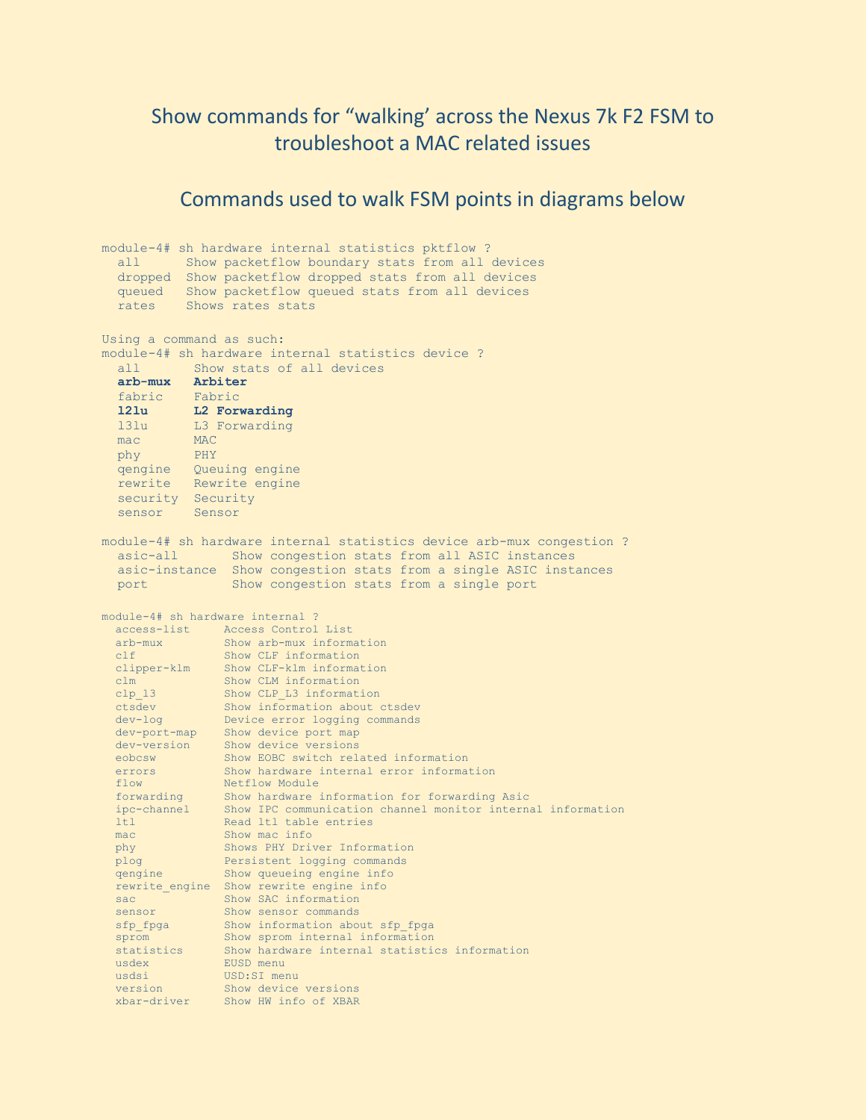## Show commands for "walking' across the Nexus 7k F2 FSM to troubleshoot a MAC related issues

## Commands used to walk FSM points in diagrams below

module-4# sh hardware internal statistics pktflow ? all Show packetflow boundary stats from all devices dropped Show packetflow dropped stats from all devices queued Show packetflow queued stats from all devices rates Shows rates stats Using a command as such: module-4# sh hardware internal statistics device ? all Show stats of all devices **arb-mux Arbiter** fabric Fabric<br>121u L2 For **l2lu L2 Forwarding** l3lu L3 Forwarding mac MAC phy PHY qengine Queuing engine rewrite Rewrite engine security Security sensor Sensor module-4# sh hardware internal statistics device arb-mux congestion ? asic-all Show congestion stats from all ASIC instances asic-instance Show congestion stats from a single ASIC instances port Show congestion stats from a single port module-4# sh hardware internal ? access-list Access Control List arb-mux Show arb-mux information clf Show CLF information clipper-klm Show CLF-klm information clm Show CLM information clp 13 Show CLP L3 information ctsdev Show information about ctsdev dev-log Device error logging commands dev-port-map Show device port map dev-version Show device versions eobcsw Show EOBC switch related information errors Show hardware internal error information flow Netflow Module forwarding Show hardware information for forwarding Asic ipc-channel Show IPC communication channel monitor internal information ltl Read ltl table entries mac Show mac info phy Shows PHY Driver Information plog Persistent logging commands qengine Show queueing engine info rewrite\_engine Show rewrite engine info sac Show SAC information sensor Show sensor commands sfp fpga Show information about sfp fpga sprom Show sprom internal information statistics Show hardware internal statistics information usdex EUSD menu usdsi USD:SI menu version Show device versions xbar-driver Show HW info of XBAR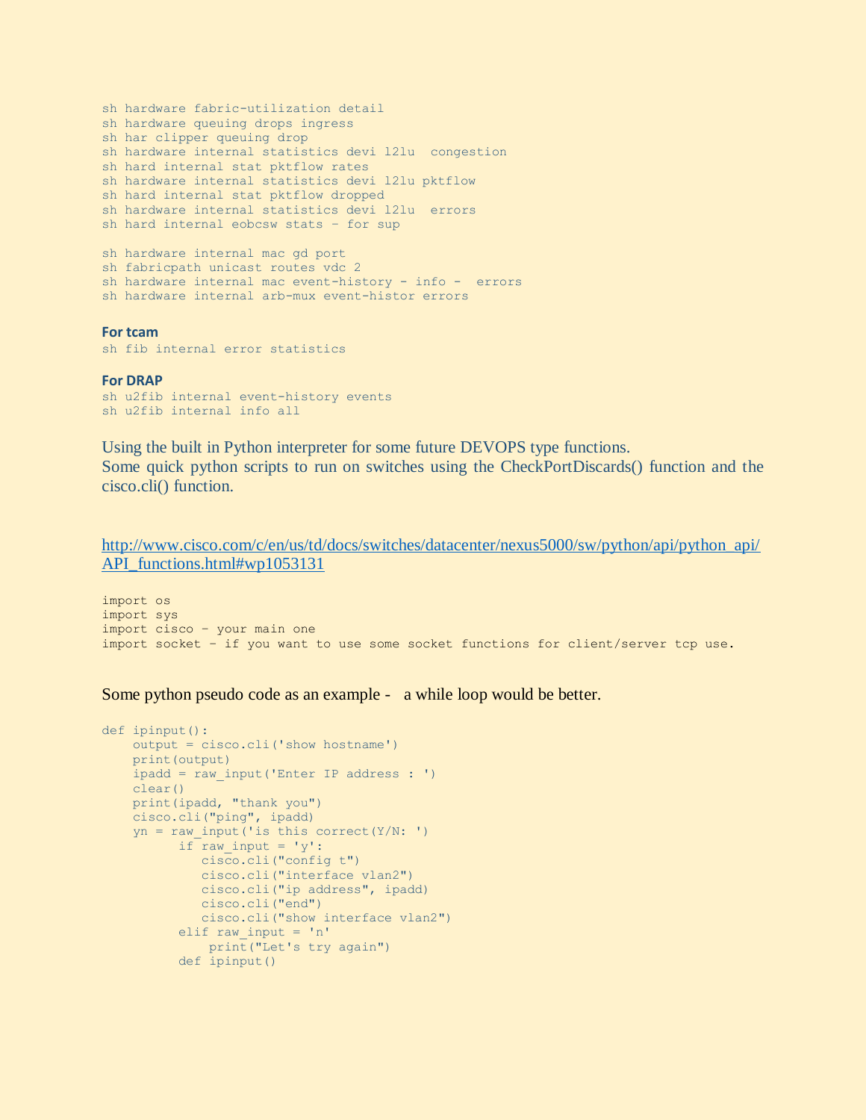```
sh hardware fabric-utilization detail
sh hardware queuing drops ingress
sh har clipper queuing drop
sh hardware internal statistics devi l2lu congestion
sh hard internal stat pktflow rates
sh hardware internal statistics devi l2lu pktflow
sh hard internal stat pktflow dropped
sh hardware internal statistics devi l2lu errors
sh hard internal eobcsw stats – for sup 
sh hardware internal mac gd port
sh fabricpath unicast routes vdc 2
sh hardware internal mac event-history - info - errors
sh hardware internal arb-mux event-histor errors
```
## **For tcam**

sh fib internal error statistics

## **For DRAP**

```
sh u2fib internal event-history events
sh u2fib internal info all
```
Using the built in Python interpreter for some future DEVOPS type functions. Some quick python scripts to run on switches using the CheckPortDiscards() function and the cisco.cli() function.

[http://www.cisco.com/c/en/us/td/docs/switches/datacenter/nexus5000/sw/python/api/python\\_api/](http://www.cisco.com/c/en/us/td/docs/switches/datacenter/nexus5000/sw/python/api/python_api/API_functions.html#wp1053131) [API\\_functions.html#wp1053131](http://www.cisco.com/c/en/us/td/docs/switches/datacenter/nexus5000/sw/python/api/python_api/API_functions.html#wp1053131)

import os import sys import cisco – your main one import socket – if you want to use some socket functions for client/server tcp use.

Some python pseudo code as an example - a while loop would be better.

```
def ipinput():
     output = cisco.cli('show hostname')
     print(output)
    ipadd = raw_input('Enter IP address : ')
    clear()
    print(ipadd, "thank you")
    cisco.cli("ping", ipadd)
   yn = raw input('is this correct(Y/N: ')if raw input = 'y': cisco.cli("config t")
              cisco.cli("interface vlan2")
              cisco.cli("ip address", ipadd)
              cisco.cli("end")
              cisco.cli("show interface vlan2")
           elif raw_input = 'n'
               print("Let's try again")
           def ipinput()
```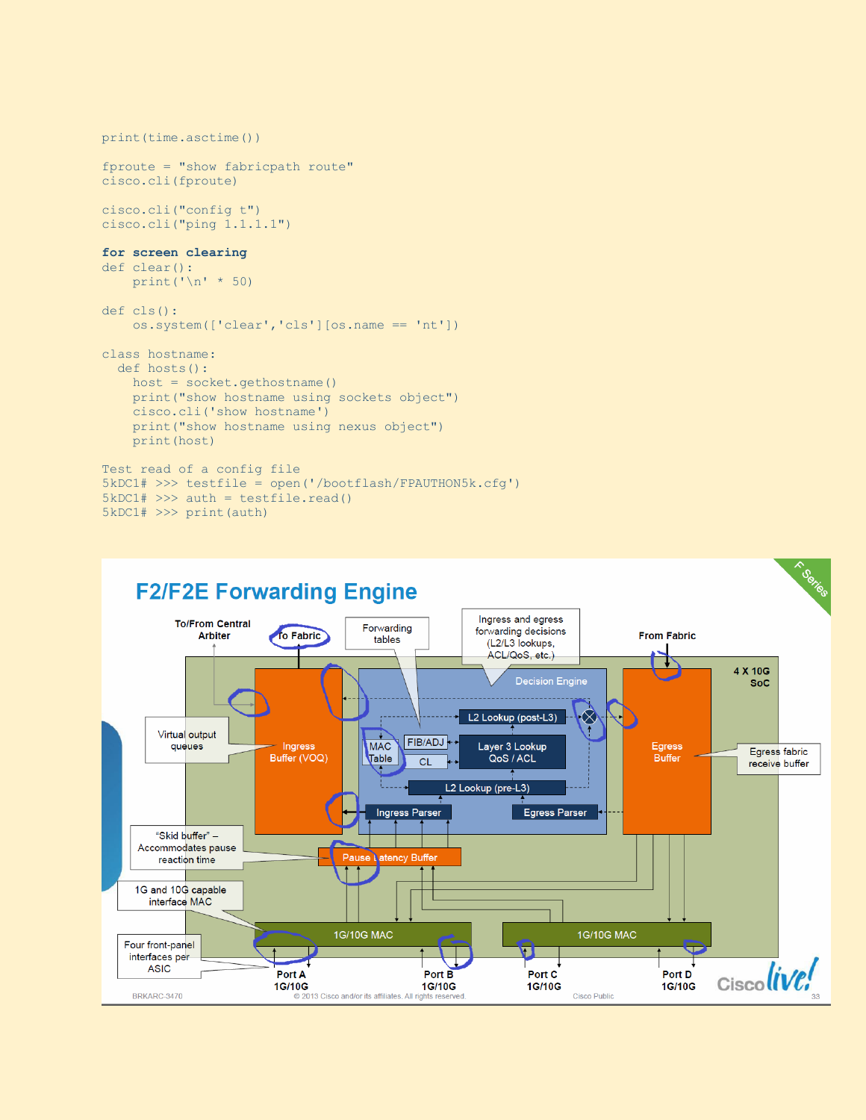```
print(time.asctime())
fproute = "show fabricpath route"
cisco.cli(fproute)
cisco.cli("config t")
cisco.cli("ping 1.1.1.1")
for screen clearing
def clear():
    print ('\n' * 50)def cls():
     os.system(['clear','cls'][os.name == 'nt'])
class hostname:
  def hosts():
    host = socket.gethostname()
     print("show hostname using sockets object")
     cisco.cli('show hostname')
     print("show hostname using nexus object")
     print(host)
Test read of a config file
5kDC1# >>> testfile = open('/bootflash/FPAUTHON5k.cfg')
5kDC1# >>> auth = testfile.read()
```


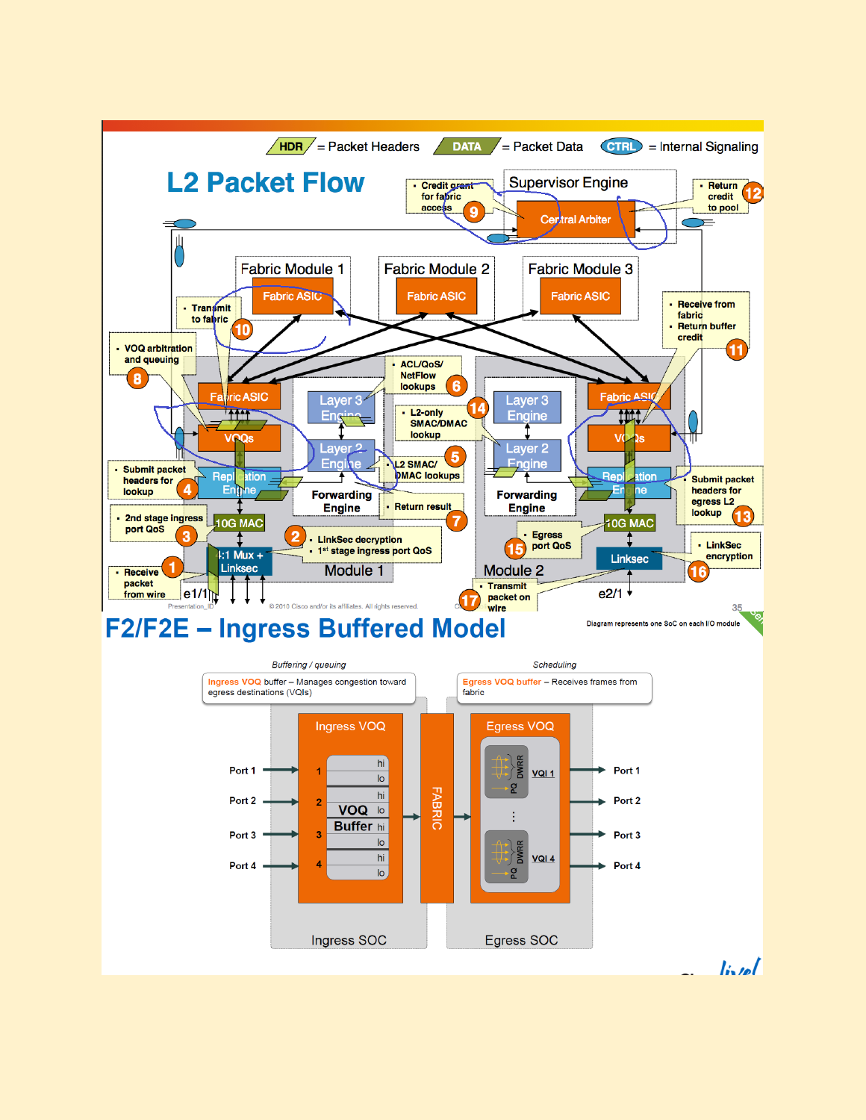